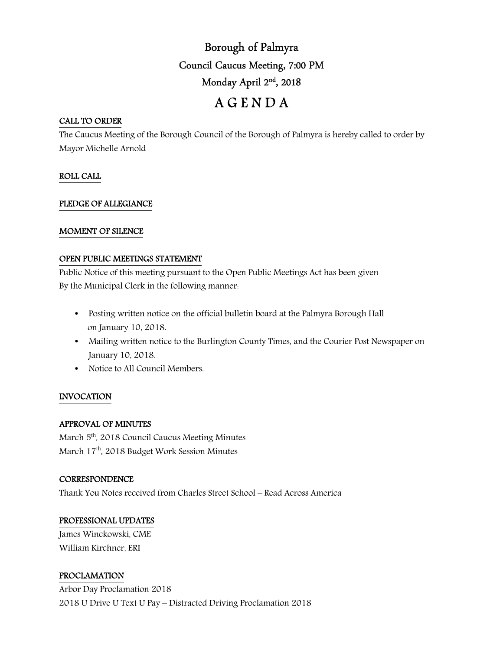# Borough of Palmyra Council Caucus Meeting, 7:00 PM Monday April 2nd, 2018

# A G E N D A

#### CALL TO ORDER

The Caucus Meeting of the Borough Council of the Borough of Palmyra is hereby called to order by Mayor Michelle Arnold

# ROLL CALL

#### PLEDGE OF ALLEGIANCE

#### MOMENT OF SILENCE

#### OPEN PUBLIC MEETINGS STATEMENT

Public Notice of this meeting pursuant to the Open Public Meetings Act has been given By the Municipal Clerk in the following manner:

- Posting written notice on the official bulletin board at the Palmyra Borough Hall on January 10, 2018.
- Mailing written notice to the Burlington County Times, and the Courier Post Newspaper on January 10, 2018.
- Notice to All Council Members.

#### INVOCATION

# APPROVAL OF MINUTES

March 5<sup>th</sup>, 2018 Council Caucus Meeting Minutes March 17th, 2018 Budget Work Session Minutes

#### **CORRESPONDENCE**

Thank You Notes received from Charles Street School – Read Across America

#### PROFESSIONAL UPDATES

James Winckowski, CME William Kirchner, ERI

# PROCLAMATION

Arbor Day Proclamation 2018 2018 U Drive U Text U Pay – Distracted Driving Proclamation 2018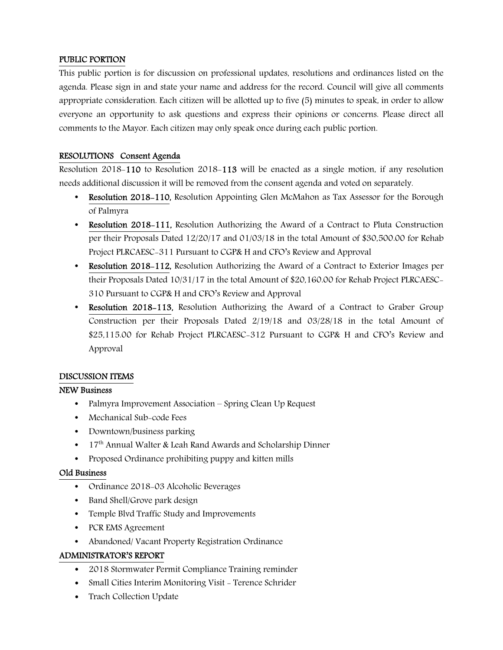# PUBLIC PORTION

This public portion is for discussion on professional updates, resolutions and ordinances listed on the agenda. Please sign in and state your name and address for the record. Council will give all comments appropriate consideration. Each citizen will be allotted up to five (5) minutes to speak, in order to allow everyone an opportunity to ask questions and express their opinions or concerns. Please direct all comments to the Mayor. Each citizen may only speak once during each public portion.

# RESOLUTIONS Consent Agenda

Resolution 2018-110 to Resolution 2018-113 will be enacted as a single motion, if any resolution needs additional discussion it will be removed from the consent agenda and voted on separately.

- Resolution 2018-110, Resolution Appointing Glen McMahon as Tax Assessor for the Borough of Palmyra
- Resolution 2018-111, Resolution Authorizing the Award of a Contract to Pluta Construction per their Proposals Dated 12/20/17 and 01/03/18 in the total Amount of \$30,500.00 for Rehab Project PLRCAESC-311 Pursuant to CGP& H and CFO's Review and Approval
- Resolution 2018–112, Resolution Authorizing the Award of a Contract to Exterior Images per their Proposals Dated 10/31/17 in the total Amount of \$20,160.00 for Rehab Project PLRCAESC-310 Pursuant to CGP& H and CFO's Review and Approval
- Resolution 2018–113, Resolution Authorizing the Award of a Contract to Graber Group Construction per their Proposals Dated 2/19/18 and 03/28/18 in the total Amount of \$25,115.00 for Rehab Project PLRCAESC-312 Pursuant to CGP& H and CFO's Review and Approval

# DISCUSSION ITEMS

# NEW Business

- Palmyra Improvement Association Spring Clean Up Request
- Mechanical Sub-code Fees
- Downtown/business parking
- $17<sup>th</sup>$  Annual Walter & Leah Rand Awards and Scholarship Dinner
- Proposed Ordinance prohibiting puppy and kitten mills

#### Old Business

- Ordinance 2018-03 Alcoholic Beverages
- Band Shell/Grove park design
- Temple Blvd Traffic Study and Improvements
- PCR EMS Agreement
- Abandoned/ Vacant Property Registration Ordinance

# ADMINISTRATOR'S REPORT

- 2018 Stormwater Permit Compliance Training reminder
- Small Cities Interim Monitoring Visit Terence Schrider
- Trach Collection Update